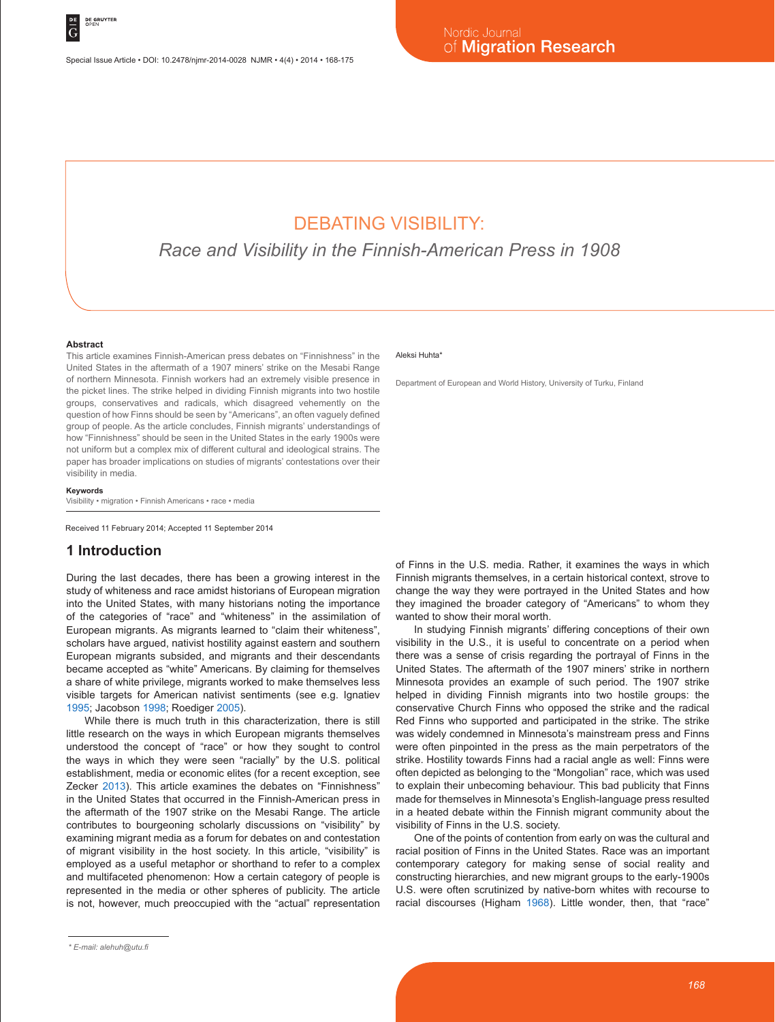# DEBATING VISIBILITY:

*Race and Visibility in the Finnish-American Press in 1908*

#### **Abstract**

This article examines Finnish-American press debates on "Finnishness" in the United States in the aftermath of a 1907 miners' strike on the Mesabi Range of northern Minnesota. Finnish workers had an extremely visible presence in the picket lines. The strike helped in dividing Finnish migrants into two hostile groups, conservatives and radicals, which disagreed vehemently on the question of how Finns should be seen by "Americans", an often vaguely defined group of people. As the article concludes, Finnish migrants' understandings of how "Finnishness" should be seen in the United States in the early 1900s were not uniform but a complex mix of different cultural and ideological strains. The paper has broader implications on studies of migrants' contestations over their visibility in media.

**Keywords**

Visibility • migration • Finnish Americans • race • media

Received 11 February 2014; Accepted 11 September 2014

### **1 Introduction**

During the last decades, there has been a growing interest in the study of whiteness and race amidst historians of European migration into the United States, with many historians noting the importance of the categories of "race" and "whiteness" in the assimilation of European migrants. As migrants learned to "claim their whiteness", scholars have argued, nativist hostility against eastern and southern European migrants subsided, and migrants and their descendants became accepted as "white" Americans. By claiming for themselves a share of white privilege, migrants worked to make themselves less visible targets for American nativist sentiments (see e.g. Ignatiev 1995; Jacobson 1998; Roediger 2005).

While there is much truth in this characterization, there is still little research on the ways in which European migrants themselves understood the concept of "race" or how they sought to control the ways in which they were seen "racially" by the U.S. political establishment, media or economic elites (for a recent exception, see Zecker 2013). This article examines the debates on "Finnishness" in the United States that occurred in the Finnish-American press in the aftermath of the 1907 strike on the Mesabi Range. The article contributes to bourgeoning scholarly discussions on "visibility" by examining migrant media as a forum for debates on and contestation of migrant visibility in the host society. In this article, "visibility" is employed as a useful metaphor or shorthand to refer to a complex and multifaceted phenomenon: How a certain category of people is represented in the media or other spheres of publicity. The article is not, however, much preoccupied with the "actual" representation

#### Aleksi Huhta\*

Department of European and World History, University of Turku, Finland

of Finns in the U.S. media. Rather, it examines the ways in which Finnish migrants themselves, in a certain historical context, strove to change the way they were portrayed in the United States and how they imagined the broader category of "Americans" to whom they wanted to show their moral worth.

In studying Finnish migrants' differing conceptions of their own visibility in the U.S., it is useful to concentrate on a period when there was a sense of crisis regarding the portrayal of Finns in the United States. The aftermath of the 1907 miners' strike in northern Minnesota provides an example of such period. The 1907 strike helped in dividing Finnish migrants into two hostile groups: the conservative Church Finns who opposed the strike and the radical Red Finns who supported and participated in the strike. The strike was widely condemned in Minnesota's mainstream press and Finns were often pinpointed in the press as the main perpetrators of the strike. Hostility towards Finns had a racial angle as well: Finns were often depicted as belonging to the "Mongolian" race, which was used to explain their unbecoming behaviour. This bad publicity that Finns made for themselves in Minnesota's English-language press resulted in a heated debate within the Finnish migrant community about the visibility of Finns in the U.S. society.

One of the points of contention from early on was the cultural and racial position of Finns in the United States. Race was an important contemporary category for making sense of social reality and constructing hierarchies, and new migrant groups to the early-1900s U.S. were often scrutinized by native-born whites with recourse to racial discourses (Higham 1968). Little wonder, then, that "race"

*<sup>\*</sup> E-mail: alehuh@utu.fi*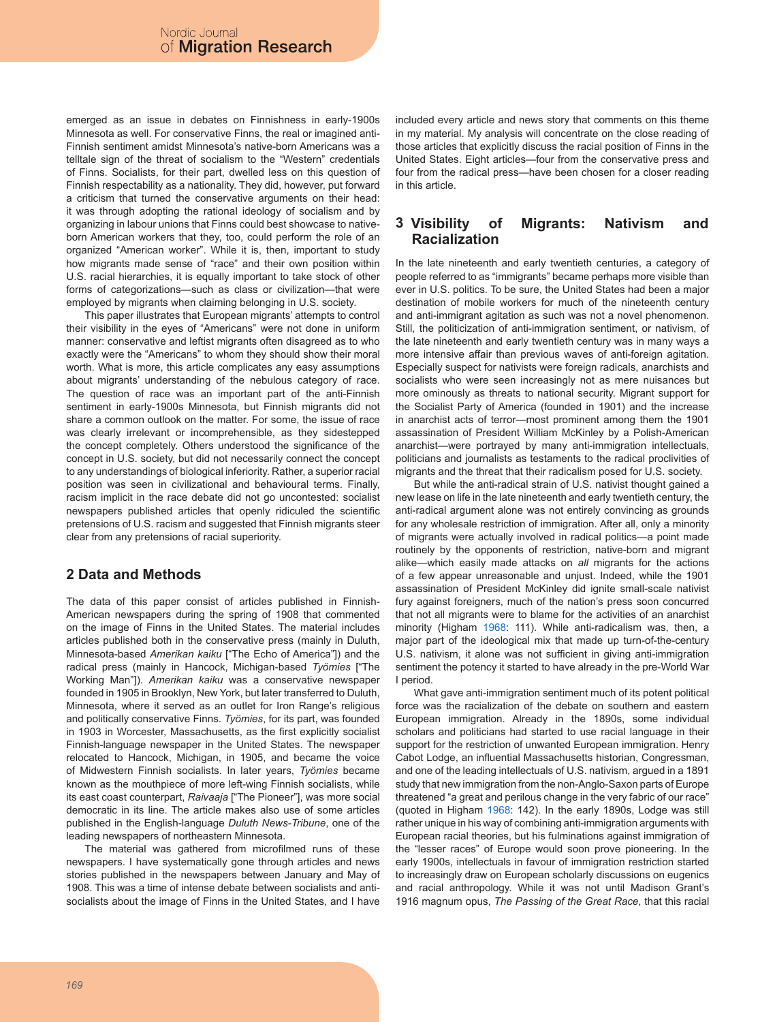emerged as an issue in debates on Finnishness in early-1900s Minnesota as well. For conservative Finns, the real or imagined anti-Finnish sentiment amidst Minnesota's native-born Americans was a telltale sign of the threat of socialism to the "Western" credentials of Finns. Socialists, for their part, dwelled less on this question of Finnish respectability as a nationality. They did, however, put forward a criticism that turned the conservative arguments on their head: it was through adopting the rational ideology of socialism and by organizing in labour unions that Finns could best showcase to nativeborn American workers that they, too, could perform the role of an organized "American worker". While it is, then, important to study how migrants made sense of "race" and their own position within U.S. racial hierarchies, it is equally important to take stock of other forms of categorizations—such as class or civilization—that were employed by migrants when claiming belonging in U.S. society.

This paper illustrates that European migrants' attempts to control their visibility in the eyes of "Americans" were not done in uniform manner: conservative and leftist migrants often disagreed as to who exactly were the "Americans" to whom they should show their moral worth. What is more, this article complicates any easy assumptions about migrants' understanding of the nebulous category of race. The question of race was an important part of the anti-Finnish sentiment in early-1900s Minnesota, but Finnish migrants did not share a common outlook on the matter. For some, the issue of race was clearly irrelevant or incomprehensible, as they sidestepped the concept completely. Others understood the significance of the concept in U.S. society, but did not necessarily connect the concept to any understandings of biological inferiority. Rather, a superior racial position was seen in civilizational and behavioural terms. Finally, racism implicit in the race debate did not go uncontested: socialist newspapers published articles that openly ridiculed the scientific pretensions of U.S. racism and suggested that Finnish migrants steer clear from any pretensions of racial superiority.

## **2 Data and Methods**

The data of this paper consist of articles published in Finnish-American newspapers during the spring of 1908 that commented on the image of Finns in the United States. The material includes articles published both in the conservative press (mainly in Duluth, Minnesota-based *Amerikan kaiku* ["The Echo of America"]) and the radical press (mainly in Hancock, Michigan-based *Työmies* ["The Working Man"]). *Amerikan kaiku* was a conservative newspaper founded in 1905 in Brooklyn, New York, but later transferred to Duluth, Minnesota, where it served as an outlet for Iron Range's religious and politically conservative Finns. *Työmies*, for its part, was founded in 1903 in Worcester, Massachusetts, as the first explicitly socialist Finnish-language newspaper in the United States. The newspaper relocated to Hancock, Michigan, in 1905, and became the voice of Midwestern Finnish socialists. In later years, *Työmies* became known as the mouthpiece of more left-wing Finnish socialists, while its east coast counterpart, *Raivaaja* ["The Pioneer"], was more social democratic in its line. The article makes also use of some articles published in the English-language *Duluth News-Tribune*, one of the leading newspapers of northeastern Minnesota.

The material was gathered from microfilmed runs of these newspapers. I have systematically gone through articles and news stories published in the newspapers between January and May of 1908. This was a time of intense debate between socialists and antisocialists about the image of Finns in the United States, and I have included every article and news story that comments on this theme in my material. My analysis will concentrate on the close reading of those articles that explicitly discuss the racial position of Finns in the United States. Eight articles—four from the conservative press and four from the radical press—have been chosen for a closer reading in this article.

#### **3** of Migrants: Nativism and **Racialization**

In the late nineteenth and early twentieth centuries, a category of people referred to as "immigrants" became perhaps more visible than ever in U.S. politics. To be sure, the United States had been a major destination of mobile workers for much of the nineteenth century and anti-immigrant agitation as such was not a novel phenomenon. Still, the politicization of anti-immigration sentiment, or nativism, of the late nineteenth and early twentieth century was in many ways a more intensive affair than previous waves of anti-foreign agitation. Especially suspect for nativists were foreign radicals, anarchists and socialists who were seen increasingly not as mere nuisances but more ominously as threats to national security. Migrant support for the Socialist Party of America (founded in 1901) and the increase in anarchist acts of terror—most prominent among them the 1901 assassination of President William McKinley by a Polish-American anarchist—were portrayed by many anti-immigration intellectuals, politicians and journalists as testaments to the radical proclivities of migrants and the threat that their radicalism posed for U.S. society.

But while the anti-radical strain of U.S. nativist thought gained a new lease on life in the late nineteenth and early twentieth century, the anti-radical argument alone was not entirely convincing as grounds for any wholesale restriction of immigration. After all, only a minority of migrants were actually involved in radical politics—a point made routinely by the opponents of restriction, native-born and migrant alike—which easily made attacks on *all* migrants for the actions of a few appear unreasonable and unjust. Indeed, while the 1901 assassination of President McKinley did ignite small-scale nativist fury against foreigners, much of the nation's press soon concurred that not all migrants were to blame for the activities of an anarchist minority (Higham 1968: 111). While anti-radicalism was, then, a major part of the ideological mix that made up turn-of-the-century U.S. nativism, it alone was not sufficient in giving anti-immigration sentiment the potency it started to have already in the pre-World War I period.

What gave anti-immigration sentiment much of its potent political force was the racialization of the debate on southern and eastern European immigration. Already in the 1890s, some individual scholars and politicians had started to use racial language in their support for the restriction of unwanted European immigration. Henry Cabot Lodge, an influential Massachusetts historian, Congressman, and one of the leading intellectuals of U.S. nativism, argued in a 1891 study that new immigration from the non-Anglo-Saxon parts of Europe threatened "a great and perilous change in the very fabric of our race" (quoted in Higham 1968: 142). In the early 1890s, Lodge was still rather unique in his way of combining anti-immigration arguments with European racial theories, but his fulminations against immigration of the "lesser races" of Europe would soon prove pioneering. In the early 1900s, intellectuals in favour of immigration restriction started to increasingly draw on European scholarly discussions on eugenics and racial anthropology. While it was not until Madison Grant's 1916 magnum opus, *The Passing of the Great Race*, that this racial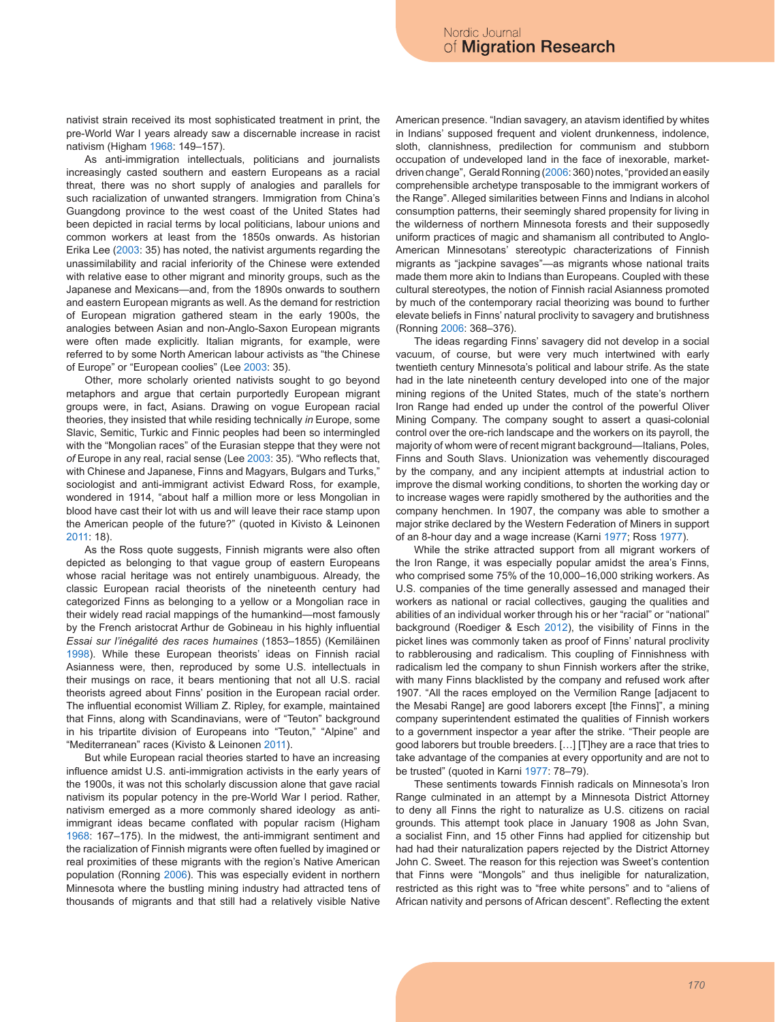nativist strain received its most sophisticated treatment in print, the pre-World War I years already saw a discernable increase in racist nativism (Higham 1968: 149–157).

As anti-immigration intellectuals, politicians and journalists increasingly casted southern and eastern Europeans as a racial threat, there was no short supply of analogies and parallels for such racialization of unwanted strangers. Immigration from China's Guangdong province to the west coast of the United States had been depicted in racial terms by local politicians, labour unions and common workers at least from the 1850s onwards. As historian Erika Lee (2003: 35) has noted, the nativist arguments regarding the unassimilability and racial inferiority of the Chinese were extended with relative ease to other migrant and minority groups, such as the Japanese and Mexicans—and, from the 1890s onwards to southern and eastern European migrants as well. As the demand for restriction of European migration gathered steam in the early 1900s, the analogies between Asian and non-Anglo-Saxon European migrants were often made explicitly. Italian migrants, for example, were referred to by some North American labour activists as "the Chinese of Europe" or "European coolies" (Lee 2003: 35).

Other, more scholarly oriented nativists sought to go beyond metaphors and argue that certain purportedly European migrant groups were, in fact, Asians. Drawing on vogue European racial theories, they insisted that while residing technically *in* Europe, some Slavic, Semitic, Turkic and Finnic peoples had been so intermingled with the "Mongolian races" of the Eurasian steppe that they were not *of* Europe in any real, racial sense (Lee 2003: 35). "Who reflects that, with Chinese and Japanese, Finns and Magyars, Bulgars and Turks," sociologist and anti-immigrant activist Edward Ross, for example, wondered in 1914, "about half a million more or less Mongolian in blood have cast their lot with us and will leave their race stamp upon the American people of the future?" (quoted in Kivisto & Leinonen 2011: 18).

As the Ross quote suggests, Finnish migrants were also often depicted as belonging to that vague group of eastern Europeans whose racial heritage was not entirely unambiguous. Already, the classic European racial theorists of the nineteenth century had categorized Finns as belonging to a yellow or a Mongolian race in their widely read racial mappings of the humankind—most famously by the French aristocrat Arthur de Gobineau in his highly influential *Essai sur l'inégalité des races humaines* (1853–1855) (Kemiläinen 1998). While these European theorists' ideas on Finnish racial Asianness were, then, reproduced by some U.S. intellectuals in their musings on race, it bears mentioning that not all U.S. racial theorists agreed about Finns' position in the European racial order. The influential economist William Z. Ripley, for example, maintained that Finns, along with Scandinavians, were of "Teuton" background in his tripartite division of Europeans into "Teuton," "Alpine" and "Mediterranean" races (Kivisto & Leinonen 2011).

But while European racial theories started to have an increasing influence amidst U.S. anti-immigration activists in the early years of the 1900s, it was not this scholarly discussion alone that gave racial nativism its popular potency in the pre-World War I period. Rather, nativism emerged as a more commonly shared ideology as antiimmigrant ideas became conflated with popular racism (Higham 1968: 167–175). In the midwest, the anti-immigrant sentiment and the racialization of Finnish migrants were often fuelled by imagined or real proximities of these migrants with the region's Native American population (Ronning 2006). This was especially evident in northern Minnesota where the bustling mining industry had attracted tens of thousands of migrants and that still had a relatively visible Native

American presence. "Indian savagery, an atavism identified by whites in Indians' supposed frequent and violent drunkenness, indolence, sloth, clannishness, predilection for communism and stubborn occupation of undeveloped land in the face of inexorable, marketdriven change", Gerald Ronning (2006: 360) notes, "provided an easily comprehensible archetype transposable to the immigrant workers of the Range". Alleged similarities between Finns and Indians in alcohol consumption patterns, their seemingly shared propensity for living in the wilderness of northern Minnesota forests and their supposedly uniform practices of magic and shamanism all contributed to Anglo-American Minnesotans' stereotypic characterizations of Finnish migrants as "jackpine savages"—as migrants whose national traits made them more akin to Indians than Europeans. Coupled with these cultural stereotypes, the notion of Finnish racial Asianness promoted by much of the contemporary racial theorizing was bound to further elevate beliefs in Finns' natural proclivity to savagery and brutishness (Ronning 2006: 368–376).

The ideas regarding Finns' savagery did not develop in a social vacuum, of course, but were very much intertwined with early twentieth century Minnesota's political and labour strife. As the state had in the late nineteenth century developed into one of the major mining regions of the United States, much of the state's northern Iron Range had ended up under the control of the powerful Oliver Mining Company. The company sought to assert a quasi-colonial control over the ore-rich landscape and the workers on its payroll, the majority of whom were of recent migrant background—Italians, Poles, Finns and South Slavs. Unionization was vehemently discouraged by the company, and any incipient attempts at industrial action to improve the dismal working conditions, to shorten the working day or to increase wages were rapidly smothered by the authorities and the company henchmen. In 1907, the company was able to smother a major strike declared by the Western Federation of Miners in support of an 8-hour day and a wage increase (Karni 1977; Ross 1977).

While the strike attracted support from all migrant workers of the Iron Range, it was especially popular amidst the area's Finns, who comprised some 75% of the 10,000–16,000 striking workers. As U.S. companies of the time generally assessed and managed their workers as national or racial collectives, gauging the qualities and abilities of an individual worker through his or her "racial" or "national" background (Roediger & Esch 2012), the visibility of Finns in the picket lines was commonly taken as proof of Finns' natural proclivity to rabblerousing and radicalism. This coupling of Finnishness with radicalism led the company to shun Finnish workers after the strike, with many Finns blacklisted by the company and refused work after 1907. "All the races employed on the Vermilion Range [adjacent to the Mesabi Range] are good laborers except [the Finns]", a mining company superintendent estimated the qualities of Finnish workers to a government inspector a year after the strike. "Their people are good laborers but trouble breeders. […] [T]hey are a race that tries to take advantage of the companies at every opportunity and are not to be trusted" (quoted in Karni 1977: 78–79).

These sentiments towards Finnish radicals on Minnesota's Iron Range culminated in an attempt by a Minnesota District Attorney to deny all Finns the right to naturalize as U.S. citizens on racial grounds. This attempt took place in January 1908 as John Svan, a socialist Finn, and 15 other Finns had applied for citizenship but had had their naturalization papers rejected by the District Attorney John C. Sweet. The reason for this rejection was Sweet's contention that Finns were "Mongols" and thus ineligible for naturalization, restricted as this right was to "free white persons" and to "aliens of African nativity and persons of African descent". Reflecting the extent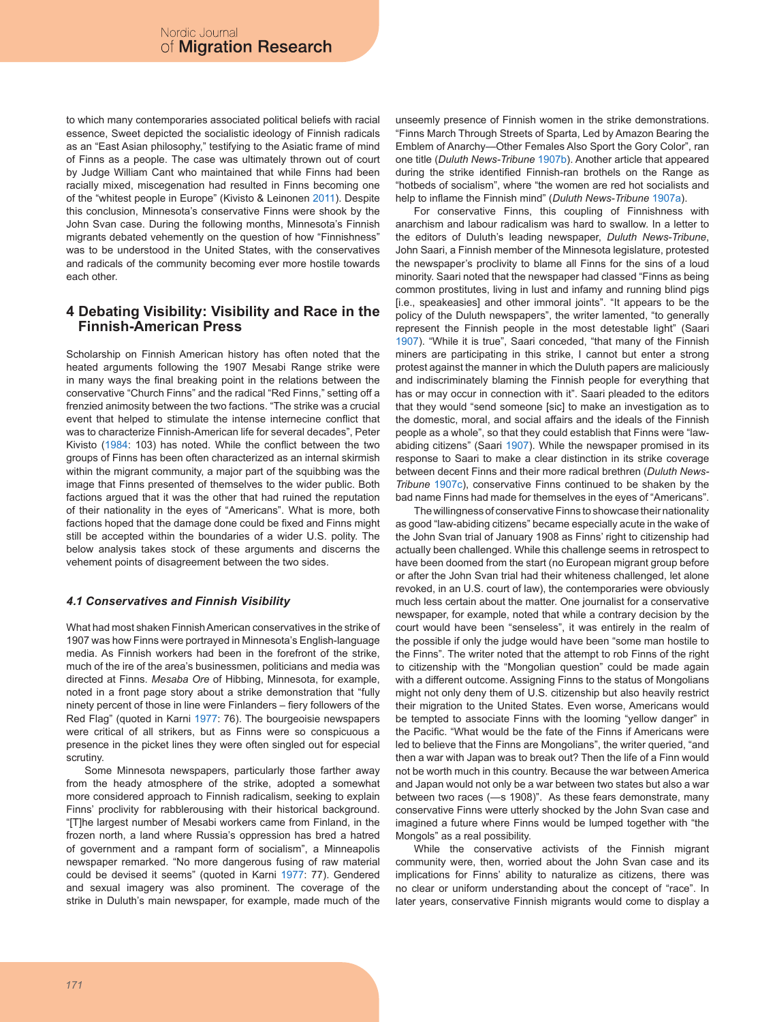to which many contemporaries associated political beliefs with racial essence, Sweet depicted the socialistic ideology of Finnish radicals as an "East Asian philosophy," testifying to the Asiatic frame of mind of Finns as a people. The case was ultimately thrown out of court by Judge William Cant who maintained that while Finns had been racially mixed, miscegenation had resulted in Finns becoming one of the "whitest people in Europe" (Kivisto & Leinonen 2011). Despite this conclusion, Minnesota's conservative Finns were shook by the John Svan case. During the following months, Minnesota's Finnish migrants debated vehemently on the question of how "Finnishness" was to be understood in the United States, with the conservatives and radicals of the community becoming ever more hostile towards each other.

## **4 Debating Visibility: Visibility and Race in the Finnish-American Press**

Scholarship on Finnish American history has often noted that the heated arguments following the 1907 Mesabi Range strike were in many ways the final breaking point in the relations between the conservative "Church Finns" and the radical "Red Finns," setting off a frenzied animosity between the two factions. "The strike was a crucial event that helped to stimulate the intense internecine conflict that was to characterize Finnish-American life for several decades", Peter Kivisto (1984: 103) has noted. While the conflict between the two groups of Finns has been often characterized as an internal skirmish within the migrant community, a major part of the squibbing was the image that Finns presented of themselves to the wider public. Both factions argued that it was the other that had ruined the reputation of their nationality in the eyes of "Americans". What is more, both factions hoped that the damage done could be fixed and Finns might still be accepted within the boundaries of a wider U.S. polity. The below analysis takes stock of these arguments and discerns the vehement points of disagreement between the two sides.

## *4.1 Conservatives and Finnish Visibility*

What had most shaken Finnish American conservatives in the strike of 1907 was how Finns were portrayed in Minnesota's English-language media. As Finnish workers had been in the forefront of the strike, much of the ire of the area's businessmen, politicians and media was directed at Finns. *Mesaba Ore* of Hibbing, Minnesota, for example, noted in a front page story about a strike demonstration that "fully ninety percent of those in line were Finlanders – fiery followers of the Red Flag" (quoted in Karni 1977: 76). The bourgeoisie newspapers were critical of all strikers, but as Finns were so conspicuous a presence in the picket lines they were often singled out for especial scrutiny.

Some Minnesota newspapers, particularly those farther away from the heady atmosphere of the strike, adopted a somewhat more considered approach to Finnish radicalism, seeking to explain Finns' proclivity for rabblerousing with their historical background. "[T]he largest number of Mesabi workers came from Finland, in the frozen north, a land where Russia's oppression has bred a hatred of government and a rampant form of socialism", a Minneapolis newspaper remarked. "No more dangerous fusing of raw material could be devised it seems" (quoted in Karni 1977: 77). Gendered and sexual imagery was also prominent. The coverage of the strike in Duluth's main newspaper, for example, made much of the unseemly presence of Finnish women in the strike demonstrations. "Finns March Through Streets of Sparta, Led by Amazon Bearing the Emblem of Anarchy—Other Females Also Sport the Gory Color", ran one title (*Duluth News-Tribune* 1907b). Another article that appeared during the strike identified Finnish-ran brothels on the Range as "hotbeds of socialism", where "the women are red hot socialists and help to inflame the Finnish mind" (*Duluth News-Tribune* 1907a).

For conservative Finns, this coupling of Finnishness with anarchism and labour radicalism was hard to swallow. In a letter to the editors of Duluth's leading newspaper, *Duluth News-Tribune*, John Saari, a Finnish member of the Minnesota legislature, protested the newspaper's proclivity to blame all Finns for the sins of a loud minority. Saari noted that the newspaper had classed "Finns as being common prostitutes, living in lust and infamy and running blind pigs [i.e., speakeasies] and other immoral joints". "It appears to be the policy of the Duluth newspapers", the writer lamented, "to generally represent the Finnish people in the most detestable light" (Saari 1907). "While it is true", Saari conceded, "that many of the Finnish miners are participating in this strike, I cannot but enter a strong protest against the manner in which the Duluth papers are maliciously and indiscriminately blaming the Finnish people for everything that has or may occur in connection with it". Saari pleaded to the editors that they would "send someone [sic] to make an investigation as to the domestic, moral, and social affairs and the ideals of the Finnish people as a whole", so that they could establish that Finns were "lawabiding citizens" (Saari 1907). While the newspaper promised in its response to Saari to make a clear distinction in its strike coverage between decent Finns and their more radical brethren (*Duluth News-Tribune* 1907c), conservative Finns continued to be shaken by the bad name Finns had made for themselves in the eyes of "Americans".

The willingness of conservative Finns to showcase their nationality as good "law-abiding citizens" became especially acute in the wake of the John Svan trial of January 1908 as Finns' right to citizenship had actually been challenged. While this challenge seems in retrospect to have been doomed from the start (no European migrant group before or after the John Svan trial had their whiteness challenged, let alone revoked, in an U.S. court of law), the contemporaries were obviously much less certain about the matter. One journalist for a conservative newspaper, for example, noted that while a contrary decision by the court would have been "senseless", it was entirely in the realm of the possible if only the judge would have been "some man hostile to the Finns". The writer noted that the attempt to rob Finns of the right to citizenship with the "Mongolian question" could be made again with a different outcome. Assigning Finns to the status of Mongolians might not only deny them of U.S. citizenship but also heavily restrict their migration to the United States. Even worse, Americans would be tempted to associate Finns with the looming "yellow danger" in the Pacific. "What would be the fate of the Finns if Americans were led to believe that the Finns are Mongolians", the writer queried, "and then a war with Japan was to break out? Then the life of a Finn would not be worth much in this country. Because the war between America and Japan would not only be a war between two states but also a war between two races (—s 1908)". As these fears demonstrate, many conservative Finns were utterly shocked by the John Svan case and imagined a future where Finns would be lumped together with "the Mongols" as a real possibility.

While the conservative activists of the Finnish migrant community were, then, worried about the John Svan case and its implications for Finns' ability to naturalize as citizens, there was no clear or uniform understanding about the concept of "race". In later years, conservative Finnish migrants would come to display a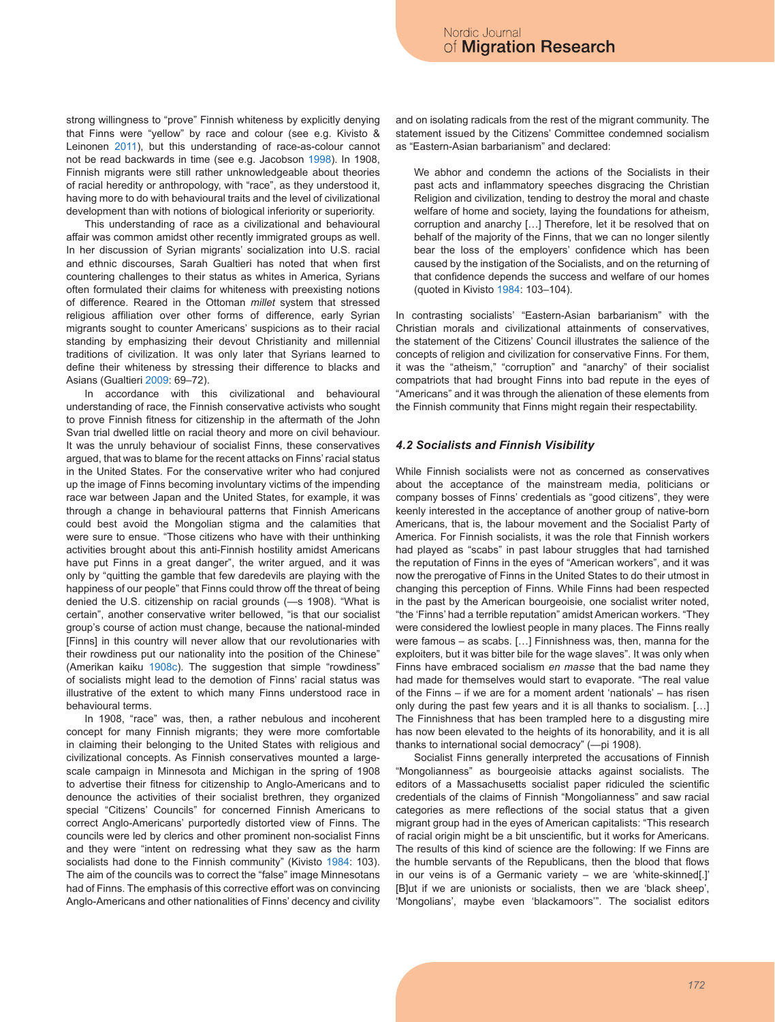strong willingness to "prove" Finnish whiteness by explicitly denying that Finns were "yellow" by race and colour (see e.g. Kivisto & Leinonen 2011), but this understanding of race-as-colour cannot not be read backwards in time (see e.g. Jacobson 1998). In 1908, Finnish migrants were still rather unknowledgeable about theories of racial heredity or anthropology, with "race", as they understood it, having more to do with behavioural traits and the level of civilizational development than with notions of biological inferiority or superiority.

This understanding of race as a civilizational and behavioural affair was common amidst other recently immigrated groups as well. In her discussion of Syrian migrants' socialization into U.S. racial and ethnic discourses, Sarah Gualtieri has noted that when first countering challenges to their status as whites in America, Syrians often formulated their claims for whiteness with preexisting notions of difference. Reared in the Ottoman *millet* system that stressed religious affiliation over other forms of difference, early Syrian migrants sought to counter Americans' suspicions as to their racial standing by emphasizing their devout Christianity and millennial traditions of civilization. It was only later that Syrians learned to define their whiteness by stressing their difference to blacks and Asians (Gualtieri 2009: 69–72).

In accordance with this civilizational and behavioural understanding of race, the Finnish conservative activists who sought to prove Finnish fitness for citizenship in the aftermath of the John Svan trial dwelled little on racial theory and more on civil behaviour. It was the unruly behaviour of socialist Finns, these conservatives argued, that was to blame for the recent attacks on Finns' racial status in the United States. For the conservative writer who had conjured up the image of Finns becoming involuntary victims of the impending race war between Japan and the United States, for example, it was through a change in behavioural patterns that Finnish Americans could best avoid the Mongolian stigma and the calamities that were sure to ensue. "Those citizens who have with their unthinking activities brought about this anti-Finnish hostility amidst Americans have put Finns in a great danger", the writer argued, and it was only by "quitting the gamble that few daredevils are playing with the happiness of our people" that Finns could throw off the threat of being denied the U.S. citizenship on racial grounds (—s 1908). "What is certain", another conservative writer bellowed, "is that our socialist group's course of action must change, because the national-minded [Finns] in this country will never allow that our revolutionaries with their rowdiness put our nationality into the position of the Chinese" (Amerikan kaiku 1908c). The suggestion that simple "rowdiness" of socialists might lead to the demotion of Finns' racial status was illustrative of the extent to which many Finns understood race in behavioural terms.

In 1908, "race" was, then, a rather nebulous and incoherent concept for many Finnish migrants; they were more comfortable in claiming their belonging to the United States with religious and civilizational concepts. As Finnish conservatives mounted a largescale campaign in Minnesota and Michigan in the spring of 1908 to advertise their fitness for citizenship to Anglo-Americans and to denounce the activities of their socialist brethren, they organized special "Citizens' Councils" for concerned Finnish Americans to correct Anglo-Americans' purportedly distorted view of Finns. The councils were led by clerics and other prominent non-socialist Finns and they were "intent on redressing what they saw as the harm socialists had done to the Finnish community" (Kivisto 1984: 103). The aim of the councils was to correct the "false" image Minnesotans had of Finns. The emphasis of this corrective effort was on convincing Anglo-Americans and other nationalities of Finns' decency and civility

and on isolating radicals from the rest of the migrant community. The statement issued by the Citizens' Committee condemned socialism as "Eastern-Asian barbarianism" and declared:

We abhor and condemn the actions of the Socialists in their past acts and inflammatory speeches disgracing the Christian Religion and civilization, tending to destroy the moral and chaste welfare of home and society, laying the foundations for atheism, corruption and anarchy […] Therefore, let it be resolved that on behalf of the majority of the Finns, that we can no longer silently bear the loss of the employers' confidence which has been caused by the instigation of the Socialists, and on the returning of that confidence depends the success and welfare of our homes (quoted in Kivisto 1984: 103–104).

In contrasting socialists' "Eastern-Asian barbarianism" with the Christian morals and civilizational attainments of conservatives, the statement of the Citizens' Council illustrates the salience of the concepts of religion and civilization for conservative Finns. For them, it was the "atheism," "corruption" and "anarchy" of their socialist compatriots that had brought Finns into bad repute in the eyes of "Americans" and it was through the alienation of these elements from the Finnish community that Finns might regain their respectability.

### *4.2 Socialists and Finnish Visibility*

While Finnish socialists were not as concerned as conservatives about the acceptance of the mainstream media, politicians or company bosses of Finns' credentials as "good citizens", they were keenly interested in the acceptance of another group of native-born Americans, that is, the labour movement and the Socialist Party of America. For Finnish socialists, it was the role that Finnish workers had played as "scabs" in past labour struggles that had tarnished the reputation of Finns in the eyes of "American workers", and it was now the prerogative of Finns in the United States to do their utmost in changing this perception of Finns. While Finns had been respected in the past by the American bourgeoisie, one socialist writer noted, "the 'Finns' had a terrible reputation" amidst American workers. "They were considered the lowliest people in many places. The Finns really were famous – as scabs. […] Finnishness was, then, manna for the exploiters, but it was bitter bile for the wage slaves". It was only when Finns have embraced socialism *en masse* that the bad name they had made for themselves would start to evaporate. "The real value of the Finns – if we are for a moment ardent 'nationals' – has risen only during the past few years and it is all thanks to socialism. […] The Finnishness that has been trampled here to a disgusting mire has now been elevated to the heights of its honorability, and it is all thanks to international social democracy" (—pi 1908).

Socialist Finns generally interpreted the accusations of Finnish "Mongolianness" as bourgeoisie attacks against socialists. The editors of a Massachusetts socialist paper ridiculed the scientific credentials of the claims of Finnish "Mongolianness" and saw racial categories as mere reflections of the social status that a given migrant group had in the eyes of American capitalists: "This research of racial origin might be a bit unscientific, but it works for Americans. The results of this kind of science are the following: If we Finns are the humble servants of the Republicans, then the blood that flows in our veins is of a Germanic variety – we are 'white-skinned[.]' [B]ut if we are unionists or socialists, then we are 'black sheep', 'Mongolians', maybe even 'blackamoors'". The socialist editors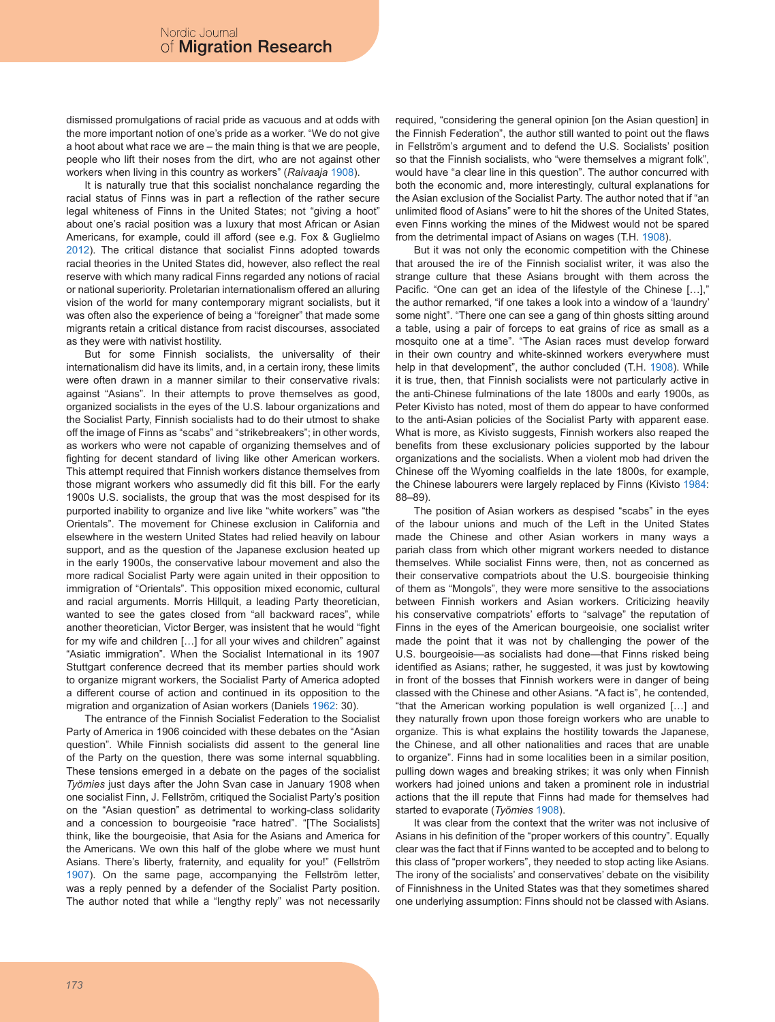dismissed promulgations of racial pride as vacuous and at odds with the more important notion of one's pride as a worker. "We do not give a hoot about what race we are – the main thing is that we are people, people who lift their noses from the dirt, who are not against other workers when living in this country as workers" (*Raivaaja* 1908).

It is naturally true that this socialist nonchalance regarding the racial status of Finns was in part a reflection of the rather secure legal whiteness of Finns in the United States; not "giving a hoot" about one's racial position was a luxury that most African or Asian Americans, for example, could ill afford (see e.g. Fox & Guglielmo 2012). The critical distance that socialist Finns adopted towards racial theories in the United States did, however, also reflect the real reserve with which many radical Finns regarded any notions of racial or national superiority. Proletarian internationalism offered an alluring vision of the world for many contemporary migrant socialists, but it was often also the experience of being a "foreigner" that made some migrants retain a critical distance from racist discourses, associated as they were with nativist hostility.

But for some Finnish socialists, the universality of their internationalism did have its limits, and, in a certain irony, these limits were often drawn in a manner similar to their conservative rivals: against "Asians". In their attempts to prove themselves as good, organized socialists in the eyes of the U.S. labour organizations and the Socialist Party, Finnish socialists had to do their utmost to shake off the image of Finns as "scabs" and "strikebreakers"; in other words, as workers who were not capable of organizing themselves and of fighting for decent standard of living like other American workers. This attempt required that Finnish workers distance themselves from those migrant workers who assumedly did fit this bill. For the early 1900s U.S. socialists, the group that was the most despised for its purported inability to organize and live like "white workers" was "the Orientals". The movement for Chinese exclusion in California and elsewhere in the western United States had relied heavily on labour support, and as the question of the Japanese exclusion heated up in the early 1900s, the conservative labour movement and also the more radical Socialist Party were again united in their opposition to immigration of "Orientals". This opposition mixed economic, cultural and racial arguments. Morris Hillquit, a leading Party theoretician, wanted to see the gates closed from "all backward races", while another theoretician, Victor Berger, was insistent that he would "fight for my wife and children […] for all your wives and children" against "Asiatic immigration". When the Socialist International in its 1907 Stuttgart conference decreed that its member parties should work to organize migrant workers, the Socialist Party of America adopted a different course of action and continued in its opposition to the migration and organization of Asian workers (Daniels 1962: 30).

The entrance of the Finnish Socialist Federation to the Socialist Party of America in 1906 coincided with these debates on the "Asian question". While Finnish socialists did assent to the general line of the Party on the question, there was some internal squabbling. These tensions emerged in a debate on the pages of the socialist *Työmies* just days after the John Svan case in January 1908 when one socialist Finn, J. Fellström, critiqued the Socialist Party's position on the "Asian question" as detrimental to working-class solidarity and a concession to bourgeoisie "race hatred". "[The Socialists] think, like the bourgeoisie, that Asia for the Asians and America for the Americans. We own this half of the globe where we must hunt Asians. There's liberty, fraternity, and equality for you!" (Fellström 1907). On the same page, accompanying the Fellström letter, was a reply penned by a defender of the Socialist Party position. The author noted that while a "lengthy reply" was not necessarily

required, "considering the general opinion [on the Asian question] in the Finnish Federation", the author still wanted to point out the flaws in Fellström's argument and to defend the U.S. Socialists' position so that the Finnish socialists, who "were themselves a migrant folk", would have "a clear line in this question". The author concurred with both the economic and, more interestingly, cultural explanations for the Asian exclusion of the Socialist Party. The author noted that if "an unlimited flood of Asians" were to hit the shores of the United States, even Finns working the mines of the Midwest would not be spared from the detrimental impact of Asians on wages (T.H. 1908).

But it was not only the economic competition with the Chinese that aroused the ire of the Finnish socialist writer, it was also the strange culture that these Asians brought with them across the Pacific. "One can get an idea of the lifestyle of the Chinese [...]," the author remarked, "if one takes a look into a window of a 'laundry' some night". "There one can see a gang of thin ghosts sitting around a table, using a pair of forceps to eat grains of rice as small as a mosquito one at a time". "The Asian races must develop forward in their own country and white-skinned workers everywhere must help in that development", the author concluded (T.H. 1908). While it is true, then, that Finnish socialists were not particularly active in the anti-Chinese fulminations of the late 1800s and early 1900s, as Peter Kivisto has noted, most of them do appear to have conformed to the anti-Asian policies of the Socialist Party with apparent ease. What is more, as Kivisto suggests, Finnish workers also reaped the benefits from these exclusionary policies supported by the labour organizations and the socialists. When a violent mob had driven the Chinese off the Wyoming coalfields in the late 1800s, for example, the Chinese labourers were largely replaced by Finns (Kivisto 1984: 88–89).

The position of Asian workers as despised "scabs" in the eyes of the labour unions and much of the Left in the United States made the Chinese and other Asian workers in many ways a pariah class from which other migrant workers needed to distance themselves. While socialist Finns were, then, not as concerned as their conservative compatriots about the U.S. bourgeoisie thinking of them as "Mongols", they were more sensitive to the associations between Finnish workers and Asian workers. Criticizing heavily his conservative compatriots' efforts to "salvage" the reputation of Finns in the eyes of the American bourgeoisie, one socialist writer made the point that it was not by challenging the power of the U.S. bourgeoisie—as socialists had done—that Finns risked being identified as Asians; rather, he suggested, it was just by kowtowing in front of the bosses that Finnish workers were in danger of being classed with the Chinese and other Asians. "A fact is", he contended, "that the American working population is well organized […] and they naturally frown upon those foreign workers who are unable to organize. This is what explains the hostility towards the Japanese, the Chinese, and all other nationalities and races that are unable to organize". Finns had in some localities been in a similar position, pulling down wages and breaking strikes; it was only when Finnish workers had joined unions and taken a prominent role in industrial actions that the ill repute that Finns had made for themselves had started to evaporate (*Työmies* 1908).

It was clear from the context that the writer was not inclusive of Asians in his definition of the "proper workers of this country". Equally clear was the fact that if Finns wanted to be accepted and to belong to this class of "proper workers", they needed to stop acting like Asians. The irony of the socialists' and conservatives' debate on the visibility of Finnishness in the United States was that they sometimes shared one underlying assumption: Finns should not be classed with Asians.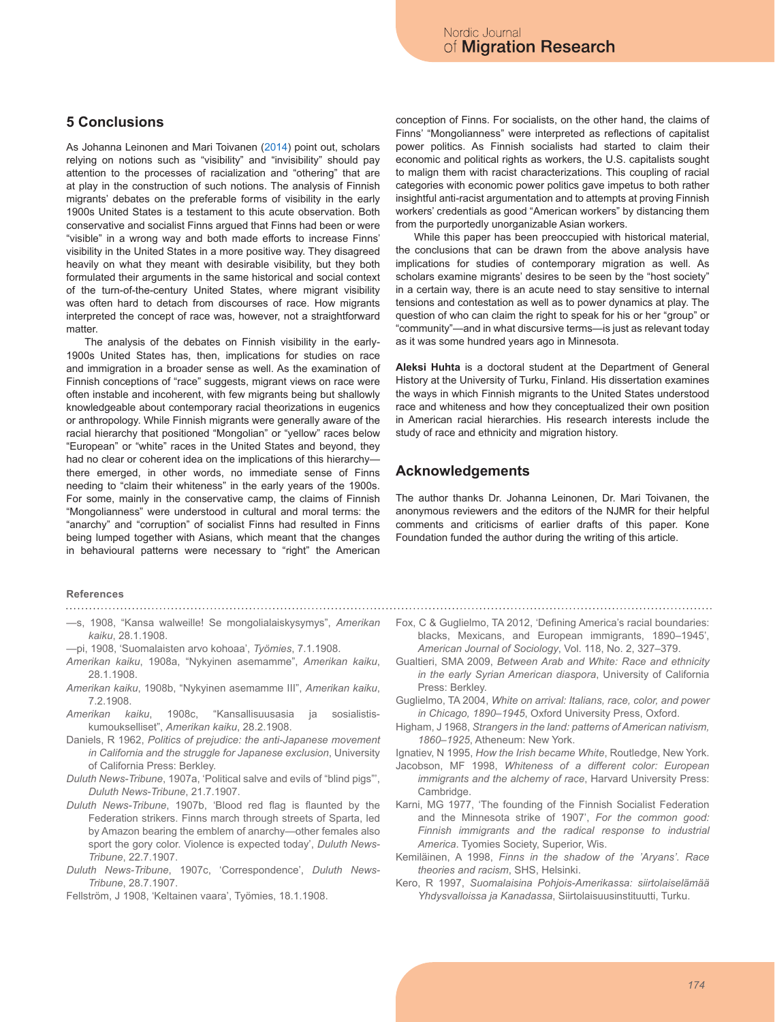## **5 Conclusions**

As Johanna Leinonen and Mari Toivanen (2014) point out, scholars relying on notions such as "visibility" and "invisibility" should pay attention to the processes of racialization and "othering" that are at play in the construction of such notions. The analysis of Finnish migrants' debates on the preferable forms of visibility in the early 1900s United States is a testament to this acute observation. Both conservative and socialist Finns argued that Finns had been or were "visible" in a wrong way and both made efforts to increase Finns' visibility in the United States in a more positive way. They disagreed heavily on what they meant with desirable visibility, but they both formulated their arguments in the same historical and social context of the turn-of-the-century United States, where migrant visibility was often hard to detach from discourses of race. How migrants interpreted the concept of race was, however, not a straightforward matter.

The analysis of the debates on Finnish visibility in the early-1900s United States has, then, implications for studies on race and immigration in a broader sense as well. As the examination of Finnish conceptions of "race" suggests, migrant views on race were often instable and incoherent, with few migrants being but shallowly knowledgeable about contemporary racial theorizations in eugenics or anthropology. While Finnish migrants were generally aware of the racial hierarchy that positioned "Mongolian" or "yellow" races below "European" or "white" races in the United States and beyond, they had no clear or coherent idea on the implications of this hierarchy there emerged, in other words, no immediate sense of Finns needing to "claim their whiteness" in the early years of the 1900s. For some, mainly in the conservative camp, the claims of Finnish "Mongolianness" were understood in cultural and moral terms: the "anarchy" and "corruption" of socialist Finns had resulted in Finns being lumped together with Asians, which meant that the changes in behavioural patterns were necessary to "right" the American

### **References**

- —s, 1908, "Kansa walweille! Se mongolialaiskysymys", *Amerikan kaiku*, 28.1.1908.
- —pi, 1908, 'Suomalaisten arvo kohoaa', *Työmies*, 7.1.1908.
- *Amerikan kaiku*, 1908a, "Nykyinen asemamme", *Amerikan kaiku*, 28.1.1908.
- *Amerikan kaiku*, 1908b, "Nykyinen asemamme III", *Amerikan kaiku*, 7.2.1908.
- *Amerikan kaiku*, 1908c, "Kansallisuusasia ja sosialistiskumoukselliset", *Amerikan kaiku*, 28.2.1908.
- Daniels, R 1962, *Politics of prejudice: the anti-Japanese movement in California and the struggle for Japanese exclusion*, University of California Press: Berkley.
- *Duluth News-Tribune*, 1907a, 'Political salve and evils of "blind pigs"', *Duluth News-Tribune*, 21.7.1907.
- *Duluth News-Tribune*, 1907b, 'Blood red flag is flaunted by the Federation strikers. Finns march through streets of Sparta, led by Amazon bearing the emblem of anarchy—other females also sport the gory color. Violence is expected today', *Duluth News-Tribune*, 22.7.1907.
- *Duluth News-Tribune*, 1907c, 'Correspondence', *Duluth News-Tribune*, 28.7.1907.
- Fellström, J 1908, 'Keltainen vaara', Työmies, 18.1.1908.

conception of Finns. For socialists, on the other hand, the claims of Finns' "Mongolianness" were interpreted as reflections of capitalist power politics. As Finnish socialists had started to claim their economic and political rights as workers, the U.S. capitalists sought to malign them with racist characterizations. This coupling of racial categories with economic power politics gave impetus to both rather insightful anti-racist argumentation and to attempts at proving Finnish workers' credentials as good "American workers" by distancing them from the purportedly unorganizable Asian workers.

While this paper has been preoccupied with historical material, the conclusions that can be drawn from the above analysis have implications for studies of contemporary migration as well. As scholars examine migrants' desires to be seen by the "host society" in a certain way, there is an acute need to stay sensitive to internal tensions and contestation as well as to power dynamics at play. The question of who can claim the right to speak for his or her "group" or "community"—and in what discursive terms—is just as relevant today as it was some hundred years ago in Minnesota.

**Aleksi Huhta** is a doctoral student at the Department of General History at the University of Turku, Finland. His dissertation examines the ways in which Finnish migrants to the United States understood race and whiteness and how they conceptualized their own position in American racial hierarchies. His research interests include the study of race and ethnicity and migration history.

## **Acknowledgements**

The author thanks Dr. Johanna Leinonen, Dr. Mari Toivanen, the anonymous reviewers and the editors of the NJMR for their helpful comments and criticisms of earlier drafts of this paper. Kone Foundation funded the author during the writing of this article.

- Fox, C & Guglielmo, TA 2012, 'Defining America's racial boundaries: blacks, Mexicans, and European immigrants, 1890–1945', *American Journal of Sociology*, Vol. 118, No. 2, 327–379.
- Gualtieri, SMA 2009, *Between Arab and White: Race and ethnicity in the early Syrian American diaspora*, University of California Press: Berkley.
- Guglielmo, TA 2004, *White on arrival: Italians, race, color, and power in Chicago, 1890–1945*, Oxford University Press, Oxford.
- Higham, J 1968, *Strangers in the land: patterns of American nativism, 1860–1925*, Atheneum: New York.

Ignatiev, N 1995, *How the Irish became White*, Routledge, New York.

- Jacobson, MF 1998, *Whiteness of a different color: European immigrants and the alchemy of race*, Harvard University Press: **Cambridge**
- Karni, MG 1977, 'The founding of the Finnish Socialist Federation and the Minnesota strike of 1907', *For the common good: Finnish immigrants and the radical response to industrial America*. Tyomies Society, Superior, Wis.
- Kemiläinen, A 1998, *Finns in the shadow of the 'Aryans'. Race theories and racism*, SHS, Helsinki.
- Kero, R 1997, *Suomalaisina Pohjois-Amerikassa: siirtolaiselämää Yhdysvalloissa ja Kanadassa*, Siirtolaisuusinstituutti, Turku.